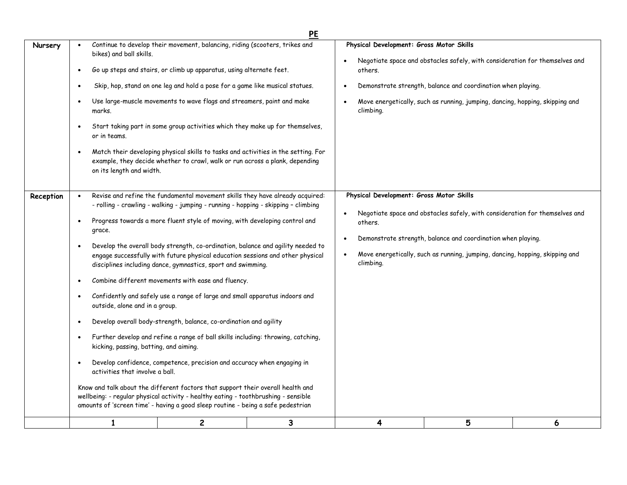|           |                                                                                                                                                                                                                                                                                                                                                                                                                                                                                                                                                                                                                                                                                                                                                                                                                                                                                                                                                                                                                                                                                                                                                                                                                                                                                                                                                                                                                                                                                                                                                                                                                                                                                                                                                                                                                                                                                                                                                                                                                                                                |   | <b>PE</b> |                                                                                                                                                                                                                                                                                                              |                                                                                                                                                                                                                             |   |  |
|-----------|----------------------------------------------------------------------------------------------------------------------------------------------------------------------------------------------------------------------------------------------------------------------------------------------------------------------------------------------------------------------------------------------------------------------------------------------------------------------------------------------------------------------------------------------------------------------------------------------------------------------------------------------------------------------------------------------------------------------------------------------------------------------------------------------------------------------------------------------------------------------------------------------------------------------------------------------------------------------------------------------------------------------------------------------------------------------------------------------------------------------------------------------------------------------------------------------------------------------------------------------------------------------------------------------------------------------------------------------------------------------------------------------------------------------------------------------------------------------------------------------------------------------------------------------------------------------------------------------------------------------------------------------------------------------------------------------------------------------------------------------------------------------------------------------------------------------------------------------------------------------------------------------------------------------------------------------------------------------------------------------------------------------------------------------------------------|---|-----------|--------------------------------------------------------------------------------------------------------------------------------------------------------------------------------------------------------------------------------------------------------------------------------------------------------------|-----------------------------------------------------------------------------------------------------------------------------------------------------------------------------------------------------------------------------|---|--|
| Nursery   | Continue to develop their movement, balancing, riding (scooters, trikes and<br>bikes) and ball skills.<br>Go up steps and stairs, or climb up apparatus, using alternate feet.<br>$\bullet$<br>Skip, hop, stand on one leg and hold a pose for a game like musical statues.<br>$\bullet$<br>Use large-muscle movements to wave flags and streamers, paint and make<br>$\bullet$<br>marks.<br>Start taking part in some group activities which they make up for themselves,<br>$\bullet$<br>or in teams.<br>Match their developing physical skills to tasks and activities in the setting. For<br>example, they decide whether to crawl, walk or run across a plank, depending<br>on its length and width.<br>Revise and refine the fundamental movement skills they have already acquired:<br>- rolling - crawling - walking - jumping - running - hopping - skipping - climbing<br>Progress towards a more fluent style of moving, with developing control and<br>$\bullet$<br>grace.<br>Develop the overall body strength, co-ordination, balance and agility needed to<br>$\bullet$<br>engage successfully with future physical education sessions and other physical<br>disciplines including dance, gymnastics, sport and swimming.<br>Combine different movements with ease and fluency.<br>$\bullet$<br>Confidently and safely use a range of large and small apparatus indoors and<br>$\bullet$<br>outside, alone and in a group.<br>Develop overall body-strength, balance, co-ordination and agility<br>$\bullet$<br>Further develop and refine a range of ball skills including: throwing, catching,<br>$\bullet$<br>kicking, passing, batting, and aiming.<br>Develop confidence, competence, precision and accuracy when engaging in<br>$\bullet$<br>activities that involve a ball.<br>Know and talk about the different factors that support their overall health and<br>wellbeing: - regular physical activity - healthy eating - toothbrushing - sensible<br>amounts of 'screen time' - having a good sleep routine - being a safe pedestrian |   |           | Physical Development: Gross Motor Skills<br>Negotiate space and obstacles safely, with consideration for themselves and<br>others.<br>Demonstrate strength, balance and coordination when playing.<br>$\bullet$<br>Move energetically, such as running, jumping, dancing, hopping, skipping and<br>climbing. |                                                                                                                                                                                                                             |   |  |
| Reception |                                                                                                                                                                                                                                                                                                                                                                                                                                                                                                                                                                                                                                                                                                                                                                                                                                                                                                                                                                                                                                                                                                                                                                                                                                                                                                                                                                                                                                                                                                                                                                                                                                                                                                                                                                                                                                                                                                                                                                                                                                                                |   |           | Physical Development: Gross Motor Skills<br>$\bullet$<br>others.<br>$\bullet$<br>climbing.                                                                                                                                                                                                                   | Negotiate space and obstacles safely, with consideration for themselves and<br>Demonstrate strength, balance and coordination when playing.<br>Move energetically, such as running, jumping, dancing, hopping, skipping and |   |  |
|           | $\mathbf{1}$                                                                                                                                                                                                                                                                                                                                                                                                                                                                                                                                                                                                                                                                                                                                                                                                                                                                                                                                                                                                                                                                                                                                                                                                                                                                                                                                                                                                                                                                                                                                                                                                                                                                                                                                                                                                                                                                                                                                                                                                                                                   | 2 | 3         | 4                                                                                                                                                                                                                                                                                                            | 5                                                                                                                                                                                                                           | 6 |  |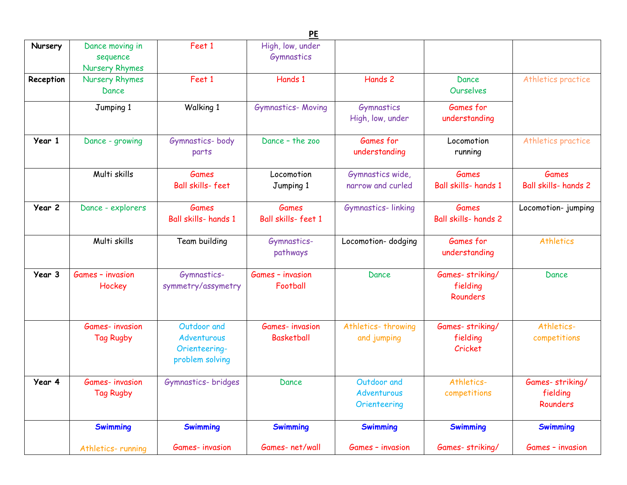|           |                                               |                                                                | <b>PE</b>                                  |                                            |                                             |                                         |
|-----------|-----------------------------------------------|----------------------------------------------------------------|--------------------------------------------|--------------------------------------------|---------------------------------------------|-----------------------------------------|
| Nursery   | Dance moving in<br>sequence<br>Nursery Rhymes | Feet 1                                                         | High, low, under<br>Gymnastics             |                                            |                                             |                                         |
| Reception | Nursery Rhymes<br>Dance                       | Feet 1                                                         | Hands 1                                    | Hands 2                                    | Dance<br><b>Ourselves</b>                   | Athletics practice                      |
|           | Jumping 1                                     | Walking 1                                                      | <b>Gymnastics- Moving</b>                  | <b>Gymnastics</b><br>High, low, under      | Games for<br>understanding                  |                                         |
| Year 1    | Dance - growing                               | Gymnastics-body<br>parts                                       | Dance - the zoo                            | Games for<br>understanding                 | Locomotion<br>running                       | Athletics practice                      |
|           | Multi skills                                  | <b>Games</b><br><b>Ball skills-feet</b>                        | Locomotion<br>Jumping 1                    | Gymnastics wide,<br>narrow and curled      | <b>Games</b><br>Ball skills- hands 1        | <b>Games</b><br>Ball skills- hands 2    |
| Year 2    | Dance - explorers                             | <b>Games</b><br>Ball skills- hands 1                           | Games<br>Ball skills-feet 1                | Gymnastics-linking                         | <b>Games</b><br><b>Ball skills- hands 2</b> | Locomotion- jumping                     |
|           | Multi skills                                  | Team building                                                  | Gymnastics-<br>pathways                    | Locomotion-dodging                         | Games for<br>understanding                  | <b>Athletics</b>                        |
| Year 3    | Games - invasion<br>Hockey                    | Gymnastics-<br>symmetry/assymetry                              | Games - invasion<br>Football               | Dance                                      | Games-striking/<br>fielding<br>Rounders     | Dance                                   |
|           | <b>Games-invasion</b><br><b>Tag Rugby</b>     | Outdoor and<br>Adventurous<br>Orienteering-<br>problem solving | <b>Games-invasion</b><br><b>Basketball</b> | Athletics-throwing<br>and jumping          | Games-striking/<br>fielding<br>Cricket      | Athletics-<br>competitions              |
| Year 4    | Games- invasion<br><b>Tag Rugby</b>           | Gymnastics- bridges                                            | Dance                                      | Outdoor and<br>Adventurous<br>Orienteering | Athletics-<br>competitions                  | Games-striking/<br>fielding<br>Rounders |
|           | <b>Swimming</b>                               | <b>Swimming</b>                                                | <b>Swimming</b>                            | <b>Swimming</b>                            | <b>Swimming</b>                             | <b>Swimming</b>                         |
|           | Athletics-running                             | <b>Games-invasion</b>                                          | Games-net/wall                             | Games - invasion                           | Games-striking/                             | Games - invasion                        |